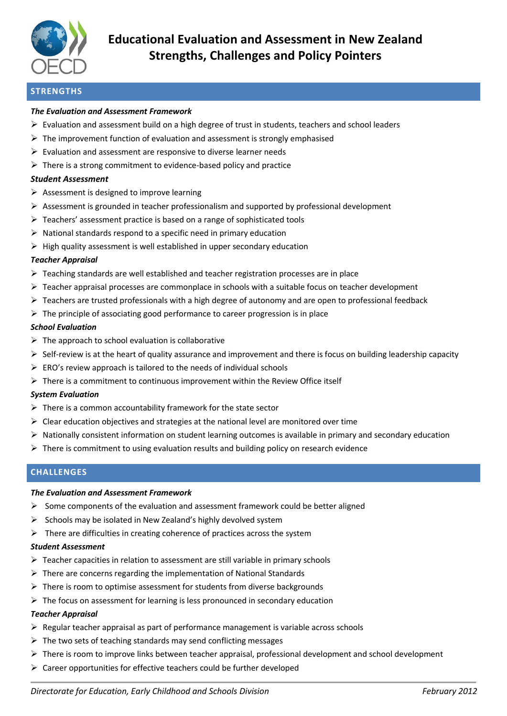

# **STRENGTHS**

### *The Evaluation and Assessment Framework*

- $\triangleright$  Evaluation and assessment build on a high degree of trust in students, teachers and school leaders
- $\triangleright$  The improvement function of evaluation and assessment is strongly emphasised
- $\triangleright$  Evaluation and assessment are responsive to diverse learner needs
- $\triangleright$  There is a strong commitment to evidence-based policy and practice

### *Student Assessment*

- $\triangleright$  Assessment is designed to improve learning
- $\triangleright$  Assessment is grounded in teacher professionalism and supported by professional development
- $\triangleright$  Teachers' assessment practice is based on a range of sophisticated tools
- $\triangleright$  National standards respond to a specific need in primary education
- $\triangleright$  High quality assessment is well established in upper secondary education

### *Teacher Appraisal*

- Teaching standards are well established and teacher registration processes are in place
- $\triangleright$  Teacher appraisal processes are commonplace in schools with a suitable focus on teacher development
- $\triangleright$  Teachers are trusted professionals with a high degree of autonomy and are open to professional feedback
- $\triangleright$  The principle of associating good performance to career progression is in place

### *School Evaluation*

- $\triangleright$  The approach to school evaluation is collaborative
- $\triangleright$  Self-review is at the heart of quality assurance and improvement and there is focus on building leadership capacity
- $\triangleright$  ERO's review approach is tailored to the needs of individual schools
- $\triangleright$  There is a commitment to continuous improvement within the Review Office itself

### *System Evaluation*

- $\triangleright$  There is a common accountability framework for the state sector
- $\triangleright$  Clear education objectives and strategies at the national level are monitored over time
- $\triangleright$  Nationally consistent information on student learning outcomes is available in primary and secondary education
- $\triangleright$  There is commitment to using evaluation results and building policy on research evidence

## **CHALLENGES**

### *The Evaluation and Assessment Framework*

- $\triangleright$  Some components of the evaluation and assessment framework could be better aligned
- $\triangleright$  Schools may be isolated in New Zealand's highly devolved system
- $\triangleright$  There are difficulties in creating coherence of practices across the system

### *Student Assessment*

- $\triangleright$  Teacher capacities in relation to assessment are still variable in primary schools
- $\triangleright$  There are concerns regarding the implementation of National Standards
- $\triangleright$  There is room to optimise assessment for students from diverse backgrounds
- $\triangleright$  The focus on assessment for learning is less pronounced in secondary education

### *Teacher Appraisal*

- $\triangleright$  Regular teacher appraisal as part of performance management is variable across schools
- $\triangleright$  The two sets of teaching standards may send conflicting messages
- $\triangleright$  There is room to improve links between teacher appraisal, professional development and school development
- $\triangleright$  Career opportunities for effective teachers could be further developed